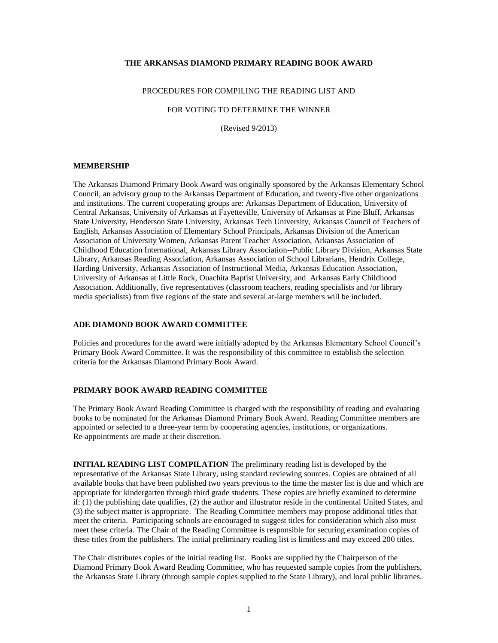## **THE ARKANSAS DIAMOND PRIMARY READING BOOK AWARD**

#### PROCEDURES FOR COMPILING THE READING LIST AND

FOR VOTING TO DETERMINE THE WINNER

(Revised 9/2013)

#### **MEMBERSHIP**

The Arkansas Diamond Primary Book Award was originally sponsored by the Arkansas Elementary School Council, an advisory group to the Arkansas Department of Education, and twenty-five other organizations and institutions. The current cooperating groups are: Arkansas Department of Education, University of Central Arkansas, University of Arkansas at Fayetteville, University of Arkansas at Pine Bluff, Arkansas State University, Henderson State University, Arkansas Tech University, Arkansas Council of Teachers of English, Arkansas Association of Elementary School Principals, Arkansas Division of the American Association of University Women, Arkansas Parent Teacher Association, Arkansas Association of Childhood Education International, Arkansas Library Association--Public Library Division, Arkansas State Library, Arkansas Reading Association, Arkansas Association of School Librarians, Hendrix College, Harding University, Arkansas Association of Instructional Media, Arkansas Education Association, University of Arkansas at Little Rock, Ouachita Baptist University, and Arkansas Early Childhood Association. Additionally, five representatives (classroom teachers, reading specialists and /or library media specialists) from five regions of the state and several at-large members will be included.

#### **ADE DIAMOND BOOK AWARD COMMITTEE**

Policies and procedures for the award were initially adopted by the Arkansas Elementary School Council's Primary Book Award Committee. It was the responsibility of this committee to establish the selection criteria for the Arkansas Diamond Primary Book Award.

#### **PRIMARY BOOK AWARD READING COMMITTEE**

The Primary Book Award Reading Committee is charged with the responsibility of reading and evaluating books to be nominated for the Arkansas Diamond Primary Book Award. Reading Committee members are appointed or selected to a three-year term by cooperating agencies, institutions, or organizations. Re-appointments are made at their discretion.

**INITIAL READING LIST COMPILATION** The preliminary reading list is developed by the representative of the Arkansas State Library, using standard reviewing sources. Copies are obtained of all available books that have been published two years previous to the time the master list is due and which are appropriate for kindergarten through third grade students. These copies are briefly examined to determine if: (1) the publishing date qualifies, (2) the author and illustrator reside in the continental United States, and (3) the subject matter is appropriate. The Reading Committee members may propose additional titles that meet the criteria. Participating schools are encouraged to suggest titles for consideration which also must meet these criteria. The Chair of the Reading Committee is responsible for securing examination copies of these titles from the publishers. The initial preliminary reading list is limitless and may exceed 200 titles.

The Chair distributes copies of the initial reading list. Books are supplied by the Chairperson of the Diamond Primary Book Award Reading Committee, who has requested sample copies from the publishers, the Arkansas State Library (through sample copies supplied to the State Library), and local public libraries.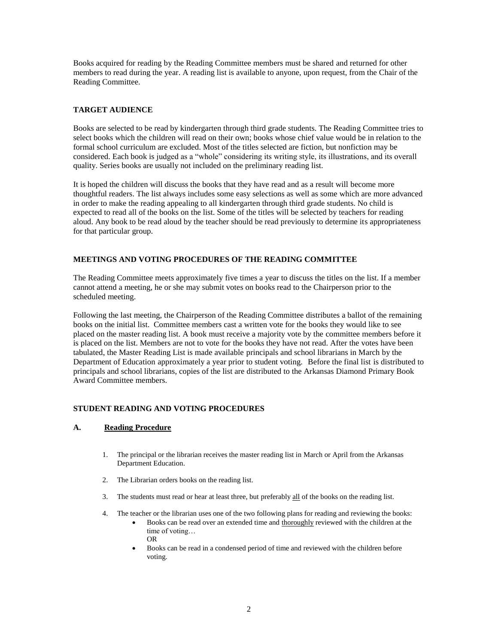Books acquired for reading by the Reading Committee members must be shared and returned for other members to read during the year. A reading list is available to anyone, upon request, from the Chair of the Reading Committee.

# **TARGET AUDIENCE**

Books are selected to be read by kindergarten through third grade students. The Reading Committee tries to select books which the children will read on their own; books whose chief value would be in relation to the formal school curriculum are excluded. Most of the titles selected are fiction, but nonfiction may be considered. Each book is judged as a "whole" considering its writing style, its illustrations, and its overall quality. Series books are usually not included on the preliminary reading list.

It is hoped the children will discuss the books that they have read and as a result will become more thoughtful readers. The list always includes some easy selections as well as some which are more advanced in order to make the reading appealing to all kindergarten through third grade students. No child is expected to read all of the books on the list. Some of the titles will be selected by teachers for reading aloud. Any book to be read aloud by the teacher should be read previously to determine its appropriateness for that particular group.

# **MEETINGS AND VOTING PROCEDURES OF THE READING COMMITTEE**

The Reading Committee meets approximately five times a year to discuss the titles on the list. If a member cannot attend a meeting, he or she may submit votes on books read to the Chairperson prior to the scheduled meeting.

Following the last meeting, the Chairperson of the Reading Committee distributes a ballot of the remaining books on the initial list. Committee members cast a written vote for the books they would like to see placed on the master reading list. A book must receive a majority vote by the committee members before it is placed on the list. Members are not to vote for the books they have not read. After the votes have been tabulated, the Master Reading List is made available principals and school librarians in March by the Department of Education approximately a year prior to student voting. Before the final list is distributed to principals and school librarians, copies of the list are distributed to the Arkansas Diamond Primary Book Award Committee members.

# **STUDENT READING AND VOTING PROCEDURES**

# **A. Reading Procedure**

- 1. The principal or the librarian receives the master reading list in March or April from the Arkansas Department Education.
- 2. The Librarian orders books on the reading list.
- 3. The students must read or hear at least three, but preferably all of the books on the reading list.
- 4. The teacher or the librarian uses one of the two following plans for reading and reviewing the books:
	- Books can be read over an extended time and thoroughly reviewed with the children at the time of voting… OR
	- Books can be read in a condensed period of time and reviewed with the children before voting.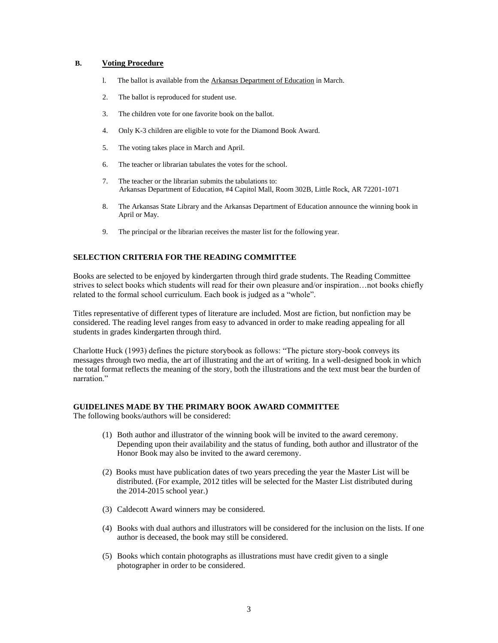## **B. Voting Procedure**

- l. The ballot is available from the Arkansas Department of Education in March.
- 2. The ballot is reproduced for student use.
- 3. The children vote for one favorite book on the ballot.
- 4. Only K-3 children are eligible to vote for the Diamond Book Award.
- 5. The voting takes place in March and April.
- 6. The teacher or librarian tabulates the votes for the school.
- 7. The teacher or the librarian submits the tabulations to: Arkansas Department of Education, #4 Capitol Mall, Room 302B, Little Rock, AR 72201-1071
- 8. The Arkansas State Library and the Arkansas Department of Education announce the winning book in April or May.
- 9. The principal or the librarian receives the master list for the following year.

#### **SELECTION CRITERIA FOR THE READING COMMITTEE**

Books are selected to be enjoyed by kindergarten through third grade students. The Reading Committee strives to select books which students will read for their own pleasure and/or inspiration…not books chiefly related to the formal school curriculum. Each book is judged as a "whole".

Titles representative of different types of literature are included. Most are fiction, but nonfiction may be considered. The reading level ranges from easy to advanced in order to make reading appealing for all students in grades kindergarten through third.

Charlotte Huck (1993) defines the picture storybook as follows: "The picture story-book conveys its messages through two media, the art of illustrating and the art of writing. In a well-designed book in which the total format reflects the meaning of the story, both the illustrations and the text must bear the burden of narration"

#### **GUIDELINES MADE BY THE PRIMARY BOOK AWARD COMMITTEE**

The following books/authors will be considered:

- (1) Both author and illustrator of the winning book will be invited to the award ceremony. Depending upon their availability and the status of funding, both author and illustrator of the Honor Book may also be invited to the award ceremony.
- (2) Books must have publication dates of two years preceding the year the Master List will be distributed. (For example, 2012 titles will be selected for the Master List distributed during the 2014-2015 school year.)
- (3) Caldecott Award winners may be considered.
- (4) Books with dual authors and illustrators will be considered for the inclusion on the lists. If one author is deceased, the book may still be considered.
- (5) Books which contain photographs as illustrations must have credit given to a single photographer in order to be considered.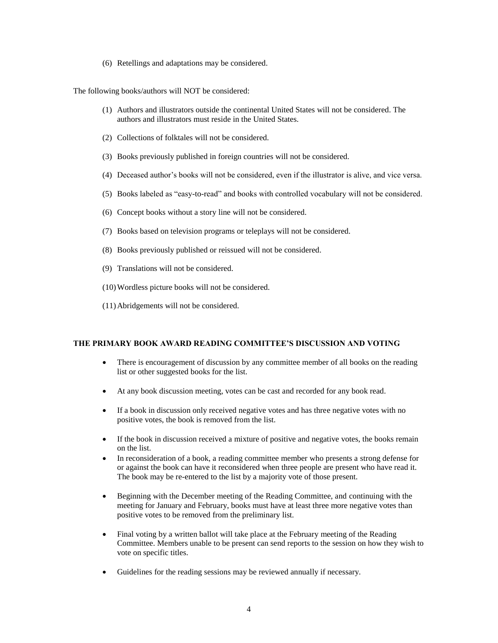(6) Retellings and adaptations may be considered.

The following books/authors will NOT be considered:

- (1) Authors and illustrators outside the continental United States will not be considered. The authors and illustrators must reside in the United States.
- (2) Collections of folktales will not be considered.
- (3) Books previously published in foreign countries will not be considered.
- (4) Deceased author's books will not be considered, even if the illustrator is alive, and vice versa.
- (5) Books labeled as "easy-to-read" and books with controlled vocabulary will not be considered.
- (6) Concept books without a story line will not be considered.
- (7) Books based on television programs or teleplays will not be considered.
- (8) Books previously published or reissued will not be considered.
- (9) Translations will not be considered.
- (10)Wordless picture books will not be considered.
- (11)Abridgements will not be considered.

#### **THE PRIMARY BOOK AWARD READING COMMITTEE'S DISCUSSION AND VOTING**

- There is encouragement of discussion by any committee member of all books on the reading list or other suggested books for the list.
- At any book discussion meeting, votes can be cast and recorded for any book read.
- If a book in discussion only received negative votes and has three negative votes with no positive votes, the book is removed from the list.
- If the book in discussion received a mixture of positive and negative votes, the books remain on the list.
- In reconsideration of a book, a reading committee member who presents a strong defense for or against the book can have it reconsidered when three people are present who have read it. The book may be re-entered to the list by a majority vote of those present.
- Beginning with the December meeting of the Reading Committee, and continuing with the meeting for January and February, books must have at least three more negative votes than positive votes to be removed from the preliminary list.
- Final voting by a written ballot will take place at the February meeting of the Reading Committee. Members unable to be present can send reports to the session on how they wish to vote on specific titles.
- Guidelines for the reading sessions may be reviewed annually if necessary.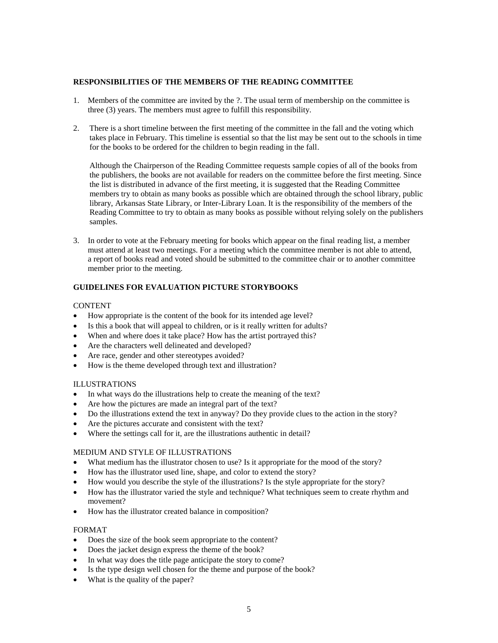#### **RESPONSIBILITIES OF THE MEMBERS OF THE READING COMMITTEE**

- 1. Members of the committee are invited by the ?. The usual term of membership on the committee is three (3) years. The members must agree to fulfill this responsibility.
- 2. There is a short timeline between the first meeting of the committee in the fall and the voting which takes place in February. This timeline is essential so that the list may be sent out to the schools in time for the books to be ordered for the children to begin reading in the fall.

 Although the Chairperson of the Reading Committee requests sample copies of all of the books from the publishers, the books are not available for readers on the committee before the first meeting. Since the list is distributed in advance of the first meeting, it is suggested that the Reading Committee members try to obtain as many books as possible which are obtained through the school library, public library, Arkansas State Library, or Inter-Library Loan. It is the responsibility of the members of the Reading Committee to try to obtain as many books as possible without relying solely on the publishers samples.

3. In order to vote at the February meeting for books which appear on the final reading list, a member must attend at least two meetings. For a meeting which the committee member is not able to attend, a report of books read and voted should be submitted to the committee chair or to another committee member prior to the meeting.

# **GUIDELINES FOR EVALUATION PICTURE STORYBOOKS**

### CONTENT

- How appropriate is the content of the book for its intended age level?
- Is this a book that will appeal to children, or is it really written for adults?
- When and where does it take place? How has the artist portrayed this?
- Are the characters well delineated and developed?
- Are race, gender and other stereotypes avoided?
- How is the theme developed through text and illustration?

# ILLUSTRATIONS

- In what ways do the illustrations help to create the meaning of the text?
- Are how the pictures are made an integral part of the text?
- Do the illustrations extend the text in anyway? Do they provide clues to the action in the story?
- Are the pictures accurate and consistent with the text?
- Where the settings call for it, are the illustrations authentic in detail?

### MEDIUM AND STYLE OF ILLUSTRATIONS

- What medium has the illustrator chosen to use? Is it appropriate for the mood of the story?
- How has the illustrator used line, shape, and color to extend the story?
- How would you describe the style of the illustrations? Is the style appropriate for the story?
- How has the illustrator varied the style and technique? What techniques seem to create rhythm and movement?
- How has the illustrator created balance in composition?

#### FORMAT

- Does the size of the book seem appropriate to the content?
- Does the jacket design express the theme of the book?
- In what way does the title page anticipate the story to come?
- Is the type design well chosen for the theme and purpose of the book?
- What is the quality of the paper?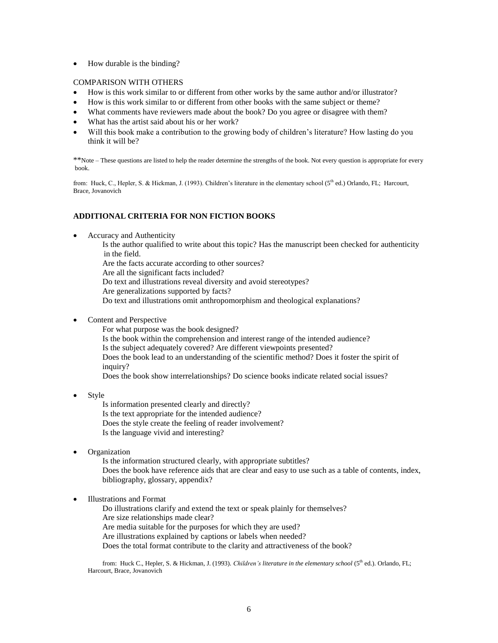• How durable is the binding?

### COMPARISON WITH OTHERS

- How is this work similar to or different from other works by the same author and/or illustrator?
- How is this work similar to or different from other books with the same subject or theme?
- What comments have reviewers made about the book? Do you agree or disagree with them?
- What has the artist said about his or her work?
- Will this book make a contribution to the growing body of children's literature? How lasting do you think it will be?

\*\*Note – These questions are listed to help the reader determine the strengths of the book. Not every question is appropriate for every book.

from: Huck, C., Hepler, S. & Hickman, J. (1993). Children's literature in the elementary school (5<sup>th</sup> ed.) Orlando, FL; Harcourt, Brace, Jovanovich

# **ADDITIONAL CRITERIA FOR NON FICTION BOOKS**

Accuracy and Authenticity

Is the author qualified to write about this topic? Has the manuscript been checked for authenticity in the field.

Are the facts accurate according to other sources?

Are all the significant facts included?

Do text and illustrations reveal diversity and avoid stereotypes?

Are generalizations supported by facts?

Do text and illustrations omit anthropomorphism and theological explanations?

Content and Perspective

For what purpose was the book designed?

Is the book within the comprehension and interest range of the intended audience?

Is the subject adequately covered? Are different viewpoints presented?

Does the book lead to an understanding of the scientific method? Does it foster the spirit of inquiry?

Does the book show interrelationships? Do science books indicate related social issues?

Style

Is information presented clearly and directly? Is the text appropriate for the intended audience? Does the style create the feeling of reader involvement? Is the language vivid and interesting?

Organization

Is the information structured clearly, with appropriate subtitles? Does the book have reference aids that are clear and easy to use such as a table of contents, index, bibliography, glossary, appendix?

Illustrations and Format

Do illustrations clarify and extend the text or speak plainly for themselves? Are size relationships made clear? Are media suitable for the purposes for which they are used? Are illustrations explained by captions or labels when needed? Does the total format contribute to the clarity and attractiveness of the book?

from: Huck C., Hepler, S. & Hickman, J. (1993). *Children's literature in the elementary school* (5<sup>th</sup> ed.). Orlando, FL; Harcourt, Brace, Jovanovich